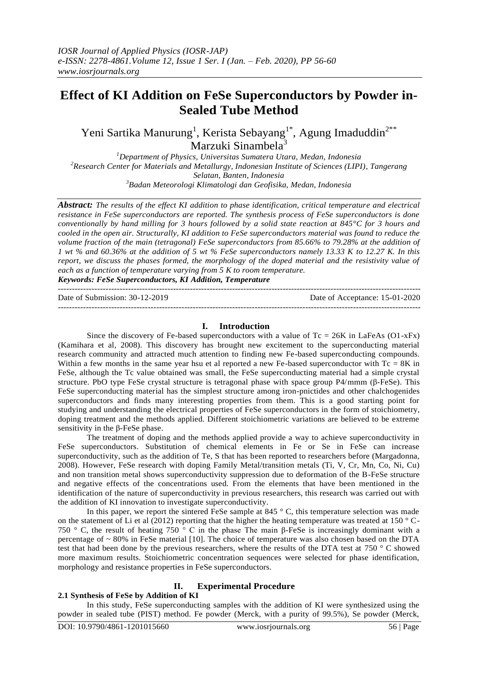# **Effect of KI Addition on FeSe Superconductors by Powder in-Sealed Tube Method**

Yeni Sartika Manurung<sup>1</sup>, Kerista Sebayang<sup>1\*</sup>, Agung Imaduddin<sup>2\*\*</sup> Marzuki Sinambela<sup>3</sup>

*Department of Physics, Universitas Sumatera Utara, Medan, Indonesia Research Center for Materials and Metallurgy, Indonesian Institute of Sciences (LIPI), Tangerang Selatan, Banten, Indonesia Badan Meteorologi Klimatologi dan Geofisika, Medan, Indonesia*

*Abstract: The results of the effect KI addition to phase identification, critical temperature and electrical resistance in FeSe superconductors are reported. The synthesis process of FeSe superconductors is done conventionally by hand milling for 3 hours followed by a solid state reaction at 845°C for 3 hours and cooled in the open air. Structurally, KI addition to FeSe superconductors material was found to reduce the volume fraction of the main (tetragonal) FeSe superconductors from 85.66% to 79.28% at the addition of 1 wt % and 60.36% at the addition of 5 wt % FeSe superconductors namely 13.33 K to 12.27 K. In this report, we discuss the phases formed, the morphology of the doped material and the resistivity value of each as a function of temperature varying from 5 K to room temperature.*

*Keywords: FeSe Superconductors, KI Addition, Temperature*

| Date of Submission: $30-12-2019$ | Date of Acceptance: 15-01-2020 |
|----------------------------------|--------------------------------|
|                                  |                                |

## **I. Introduction**

Since the discovery of Fe-based superconductors with a value of  $Tc = 26K$  in LaFeAs (O1-xFx) (Kamihara et al, 2008). This discovery has brought new excitement to the superconducting material research community and attracted much attention to finding new Fe-based superconducting compounds. Within a few months in the same year hsu et al reported a new Fe-based superconductor with  $Tc = 8K$  in FeSe, although the Tc value obtained was small, the FeSe superconducting material had a simple crystal structure. PbO type FeSe crystal structure is tetragonal phase with space group P4/mmm (β-FeSe). This FeSe superconducting material has the simplest structure among iron-pnictides and other chalchogenides superconductors and finds many interesting properties from them. This is a good starting point for studying and understanding the electrical properties of FeSe superconductors in the form of stoichiometry, doping treatment and the methods applied. Different stoichiometric variations are believed to be extreme sensitivity in the β-FeSe phase.

The treatment of doping and the methods applied provide a way to achieve superconductivity in FeSe superconductors. Substitution of chemical elements in Fe or Se in FeSe can increase superconductivity, such as the addition of Te, S that has been reported to researchers before (Margadonna, 2008). However, FeSe research with doping Family Metal/transition metals (Ti, V, Cr, Mn, Co, Ni, Cu) and non transition metal shows superconductivity suppression due to deformation of the B-FeSe structure and negative effects of the concentrations used. From the elements that have been mentioned in the identification of the nature of superconductivity in previous researchers, this research was carried out with the addition of KI innovation to investigate superconductivity.

In this paper, we report the sintered FeSe sample at 845  $\degree$  C, this temperature selection was made on the statement of Li et al (2012) reporting that the higher the heating temperature was treated at 150  $^{\circ}$  C-750 ° C, the result of heating 750 ° C in the phase The main β-FeSe is increasingly dominant with a percentage of ~ 80% in FeSe material [10]. The choice of temperature was also chosen based on the DTA test that had been done by the previous researchers, where the results of the DTA test at 750 ° C showed more maximum results. Stoichiometric concentration sequences were selected for phase identification, morphology and resistance properties in FeSe superconductors.

## **II. Experimental Procedure**

## **2.1 Synthesis of FeSe by Addition of KI**

In this study, FeSe superconducting samples with the addition of KI were synthesized using the powder in sealed tube (PIST) method. Fe powder (Merck, with a purity of 99.5%), Se powder (Merck,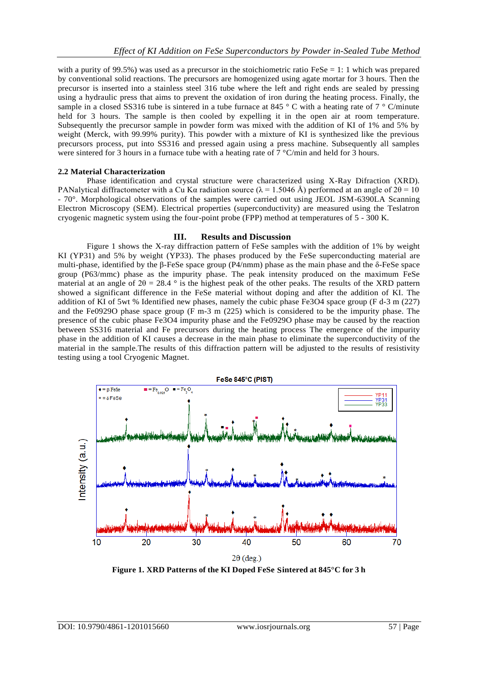with a purity of 99.5%) was used as a precursor in the stoichiometric ratio FeSe = 1: 1 which was prepared by conventional solid reactions. The precursors are homogenized using agate mortar for 3 hours. Then the precursor is inserted into a stainless steel 316 tube where the left and right ends are sealed by pressing using a hydraulic press that aims to prevent the oxidation of iron during the heating process. Finally, the sample in a closed SS316 tube is sintered in a tube furnace at 845 ° C with a heating rate of 7 ° C/minute held for 3 hours. The sample is then cooled by expelling it in the open air at room temperature. Subsequently the precursor sample in powder form was mixed with the addition of KI of 1% and 5% by weight (Merck, with 99.99% purity). This powder with a mixture of KI is synthesized like the previous precursors process, put into SS316 and pressed again using a press machine. Subsequently all samples were sintered for 3 hours in a furnace tube with a heating rate of 7 °C/min and held for 3 hours.

## **2.2 Material Characterization**

Phase identification and crystal structure were characterized using X-Ray Difraction (XRD). PANalytical diffractometer with a Cu Kα radiation source ( $\lambda = 1.5046$  Å) performed at an angle of 2θ = 10 - 70°. Morphological observations of the samples were carried out using JEOL JSM-6390LA Scanning Electron Microscopy (SEM). Electrical properties (superconductivity) are measured using the Teslatron cryogenic magnetic system using the four-point probe (FPP) method at temperatures of 5 - 300 K.

## **III. Results and Discussion**

Figure 1 shows the X-ray diffraction pattern of FeSe samples with the addition of 1% by weight KI (YP31) and 5% by weight (YP33). The phases produced by the FeSe superconducting material are multi-phase, identified by the β-FeSe space group (P4/nmm) phase as the main phase and the δ-FeSe space group (P63/mmc) phase as the impurity phase. The peak intensity produced on the maximum FeSe material at an angle of  $2\theta = 28.4$  ° is the highest peak of the other peaks. The results of the XRD pattern showed a significant difference in the FeSe material without doping and after the addition of KI. The addition of KI of 5wt % Identified new phases, namely the cubic phase Fe3O4 space group (F d-3 m (227) and the Fe0929O phase space group (F m-3 m (225) which is considered to be the impurity phase. The presence of the cubic phase Fe3O4 impurity phase and the Fe0929O phase may be caused by the reaction between SS316 material and Fe precursors during the heating process The emergence of the impurity phase in the addition of KI causes a decrease in the main phase to eliminate the superconductivity of the material in the sample.The results of this diffraction pattern will be adjusted to the results of resistivity testing using a tool Cryogenic Magnet.



**Figure 1. XRD Patterns of the KI Doped FeSe Sintered at 845°C for 3 h**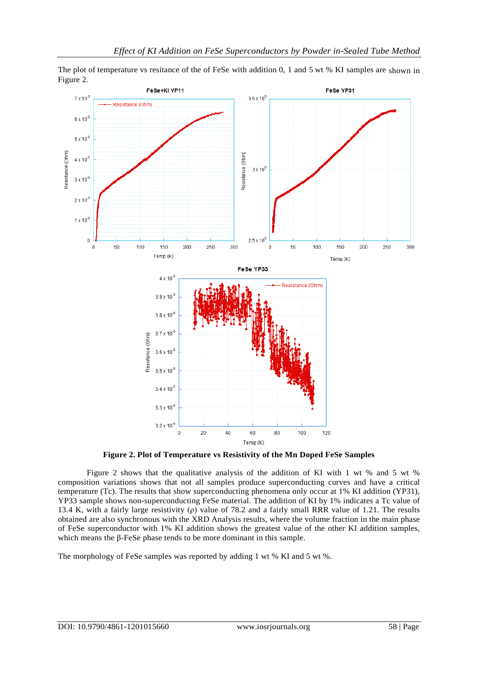The plot of temperature vs resitance of the of FeSe with addition 0, 1 and 5 wt % KI samples are shown in Figure 2.



**Figure 2. Plot of Temperature vs Resistivity of the Mn Doped FeSe Samples**

Figure 2 shows that the qualitative analysis of the addition of KI with 1 wt % and 5 wt % composition variations shows that not all samples produce superconducting curves and have a critical temperature (Tc). The results that show superconducting phenomena only occur at 1% KI addition (YP31), YP33 sample shows non-superconducting FeSe material. The addition of KI by 1% indicates a Tc value of 13.4 K, with a fairly large resistivity (ρ) value of 78.2 and a fairly small RRR value of 1.21. The results obtained are also synchronous with the XRD Analysis results, where the volume fraction in the main phase of FeSe superconductor with 1% KI addition shows the greatest value of the other KI addition samples, which means the β-FeSe phase tends to be more dominant in this sample.

The morphology of FeSe samples was reported by adding 1 wt % KI and 5 wt %.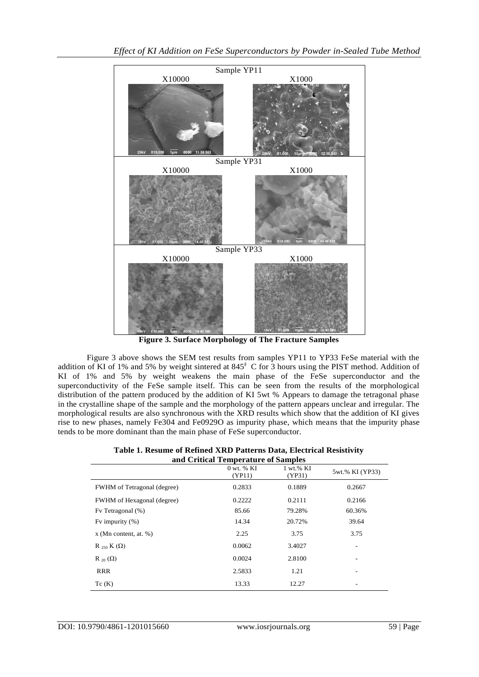

**Figure 3. Surface Morphology of The Fracture Samples**

Figure 3 above shows the SEM test results from samples YP11 to YP33 FeSe material with the addition of KI of 1% and 5% by weight sintered at  $845^\circ$  C for 3 hours using the PIST method. Addition of KI of 1% and 5% by weight weakens the main phase of the FeSe superconductor and the superconductivity of the FeSe sample itself. This can be seen from the results of the morphological distribution of the pattern produced by the addition of KI 5wt % Appears to damage the tetragonal phase in the crystalline shape of the sample and the morphology of the pattern appears unclear and irregular. The morphological results are also synchronous with the XRD results which show that the addition of KI gives rise to new phases, namely Fe304 and Fe0929O as impurity phase, which means that the impurity phase tends to be more dominant than the main phase of FeSe superconductor.

| Table 1. Resume of Refined XRD Patterns Data, Electrical Resistivity |  |  |
|----------------------------------------------------------------------|--|--|
| and Critical Temperature of Samples                                  |  |  |

| ana Critical Temperature of Bampics |                          |                         |                 |  |
|-------------------------------------|--------------------------|-------------------------|-----------------|--|
|                                     | $0$ wt. $%$ KI<br>(YP11) | $1 wt. \% KI$<br>(YP31) | 5wt.% KI (YP33) |  |
| <b>FWHM</b> of Tetragonal (degree)  | 0.2833                   | 0.1889                  | 0.2667          |  |
| FWHM of Hexagonal (degree)          | 0.2222                   | 0.2111                  | 0.2166          |  |
| Fv Tetragonal (%)                   | 85.66                    | 79.28%                  | 60.36%          |  |
| Fy impurity $(\%)$                  | 14.34                    | 20.72%                  | 39.64           |  |
| $x$ (Mn content, at. %)             | 2.25                     | 3.75                    | 3.75            |  |
| R $_{250}$ K ( $\Omega$ )           | 0.0062                   | 3.4027                  | ۰               |  |
| R <sub>20</sub> $(\Omega)$          | 0.0024                   | 2.8100                  |                 |  |
| <b>RRR</b>                          | 2.5833                   | 1.21                    | ۰               |  |
| Tc(K)                               | 13.33                    | 12.27                   |                 |  |